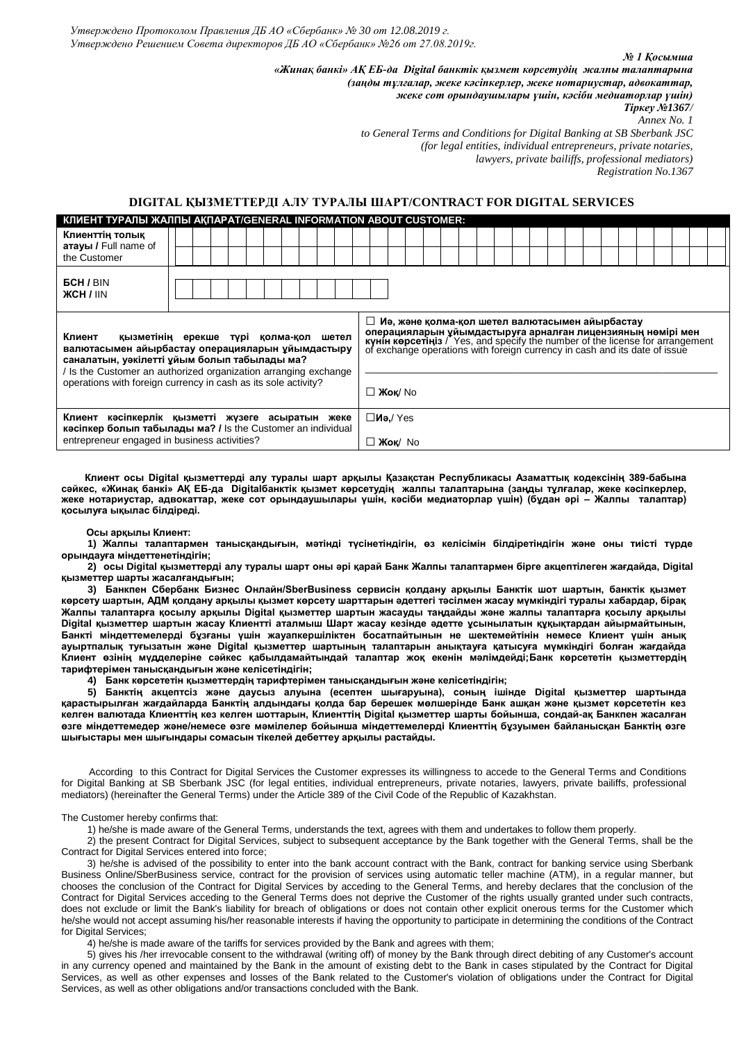*Утверждено Протоколом Правления ДБ АО «Сбербанк» № 30 от 12.08.2019 г. Утверждено Решением Совета директоров ДБ АО «Сбербанк» №26 от 27.08.2019г.*

|                                                                                                                                                                                                                         |  |  |  |  |                                                                                                                                                                                                                                                                                 |  |  |                   |  |  |  |  |  |  |  |  |  |  |  |  |  |  |  |  | № 1 Косымша<br>«Жинақ банкі» АҚ ЕБ-да Digital банктік қызмет көрсетудің жалпы талаптарына<br>(заңды тұлғалар, жеке кәсіпкерлер, жеке нотариустар, адвокаттар,<br>жеке сот орындаушылары үшін, кәсіби медиаторлар үшін)<br>Tipкey №1367/<br>to General Terms and Conditions for Digital Banking at SB Sberbank JSC<br>(for legal entities, individual entrepreneurs, private notaries,<br><i>lawyers, private bailiffs, professional mediators)</i><br>Registration No.1367 | Annex No. 1 |  |  |
|-------------------------------------------------------------------------------------------------------------------------------------------------------------------------------------------------------------------------|--|--|--|--|---------------------------------------------------------------------------------------------------------------------------------------------------------------------------------------------------------------------------------------------------------------------------------|--|--|-------------------|--|--|--|--|--|--|--|--|--|--|--|--|--|--|--|--|----------------------------------------------------------------------------------------------------------------------------------------------------------------------------------------------------------------------------------------------------------------------------------------------------------------------------------------------------------------------------------------------------------------------------------------------------------------------------|-------------|--|--|
| DIGITAL ҚЫЗМЕТТЕРДІ АЛУ ТУРАЛЫ ШАРТ/CONTRACT FOR DIGITAL SERVICES<br>КЛИЕНТ ТУРАЛЫ ЖАЛПЫ АҚПАРАТ/GENERAL INFORMATION ABOUT CUSTOMER:                                                                                    |  |  |  |  |                                                                                                                                                                                                                                                                                 |  |  |                   |  |  |  |  |  |  |  |  |  |  |  |  |  |  |  |  |                                                                                                                                                                                                                                                                                                                                                                                                                                                                            |             |  |  |
| Клиенттің толық<br><b>атауы / Full name of</b><br>the Customer                                                                                                                                                          |  |  |  |  |                                                                                                                                                                                                                                                                                 |  |  |                   |  |  |  |  |  |  |  |  |  |  |  |  |  |  |  |  |                                                                                                                                                                                                                                                                                                                                                                                                                                                                            |             |  |  |
| <b>GCH / BIN</b><br><b>ЖСН / IIN</b>                                                                                                                                                                                    |  |  |  |  |                                                                                                                                                                                                                                                                                 |  |  |                   |  |  |  |  |  |  |  |  |  |  |  |  |  |  |  |  |                                                                                                                                                                                                                                                                                                                                                                                                                                                                            |             |  |  |
| Клиент<br>қызметінің ерекше түрі қолма-қол шетел<br>валютасымен айырбастау операцияларын ұйымдастыру<br>саналатын, уәкілетті ұйым болып табылады ма?<br>/ Is the Customer an authorized organization arranging exchange |  |  |  |  | □ Иә, және қолма-қол шетел валютасымен айырбастау<br>операцияларын уйымдастыруға арналған лицензияның нөмірі мен<br>күнін көрсетіңіз / Yes, and specify the number of the license for arrangement<br>of exchange operations with foreign currency in cash and its date of issue |  |  |                   |  |  |  |  |  |  |  |  |  |  |  |  |  |  |  |  |                                                                                                                                                                                                                                                                                                                                                                                                                                                                            |             |  |  |
| operations with foreign currency in cash as its sole activity?                                                                                                                                                          |  |  |  |  |                                                                                                                                                                                                                                                                                 |  |  | □ <b>Жок</b> / No |  |  |  |  |  |  |  |  |  |  |  |  |  |  |  |  |                                                                                                                                                                                                                                                                                                                                                                                                                                                                            |             |  |  |

**Клиент кәсіпкерлік қызметті жүзеге асыратын жеке кәсіпкер болып табылады ма? /** Is the Customer an individual entrepreneur engaged in business activities? **□Иә,**/ Yes **□ Жоқ**/ No

 **Клиент осы Digital қызметтерді алу туралы шарт арқылы Қазақстан Республикасы Азаматтық кодексінің 389-бабына сәйкес, «Жинақ банкі» АҚ ЕБ-да Digitalбанктік қызмет көрсетудің жалпы талаптарына (заңды тұлғалар, жеке кәсіпкерлер, жеке нотариустар, адвокаттар, жеке сот орындаушылары үшін, кәсіби медиаторлар үшін) (бұдан әрі – Жалпы талаптар) қосылуға ықылас білдіреді.**

#### **Осы арқылы Клиент:**

**1) Жалпы талаптармен танысқандығын, мәтінді түсінетіндігін, өз келісімін білдіретіндігін және оны тиісті түрде орындауға міндеттенетіндігін;**

**2) осы Digital қызметтерді алу туралы шарт оны әрі қарай Банк Жалпы талаптармен бірге акцептілеген жағдайда, Digital қызметтер шарты жасалғандығын;**

**3) Банкпен Сбербанк Бизнес Онлайн/SberBusiness сервисін қолдану арқылы Банктік шот шартын, банктік қызмет көрсету шартын, АДМ қолдану арқылы қызмет көрсету шарттарын әдеттегі тәсілмен жасау мүмкіндігі туралы хабардар, бірақ Жалпы талаптарға қосылу арқылы Digital қызметтер шартын жасауды таңдайды және жалпы талаптарға қосылу арқылы Digital қызметтер шартын жасау Клиентті аталмыш Шарт жасау кезінде әдетте ұсынылатын құқықтардан айырмайтынын, Банкті міндеттемелерді бұзғаны үшін жауапкершіліктен босатпайтынын не шектемейтінін немесе Клиент үшін анық ауыртпалық туғызатын және Digital қызметтер шартының талаптарын анықтауға қатысуға мүмкіндігі болған жағдайда Клиент өзінің мүдделеріне сәйкес қабылдамайтындай талаптар жоқ екенін мәлімдейді;Банк көрсететін қызметтердің тарифтерімен танысқандығын және келісетіндігін;**

**4) Банк көрсететін қызметтердің тарифтерімен танысқандығын және келісетіндігін;**

**5) Банктің акцептсіз және даусыз алуына (есептен шығаруына), соның ішінде Digital қызметтер шартында қарастырылған жағдайларда Банктің алдындағы қолда бар берешек мөлшерінде Банк ашқан және қызмет көрсететін кез келген валютада Клиенттің кез келген шоттарын, Клиенттің Digital қызметтер шарты бойынша, сондай-ақ Банкпен жасалған өзге міндеттемедер және/немесе өзге мәмілелер бойынша міндеттемелерді Клиенттің бұзуымен байланысқан Банктің өзге шығыстары мен шығындары сомасын тікелей дебеттеу арқылы растайды.** 

 According to this Contract for Digital Services the Customer expresses its willingness to accede to the General Terms and Conditions for Digital Banking at SB Sberbank JSC (for legal entities, individual entrepreneurs, private notaries, lawyers, private bailiffs, professional mediators) (hereinafter the General Terms) under the Article 389 of the Civil Code of the Republic of Kazakhstan.

### The Customer hereby confirms that:

1) he/she is made aware of the General Terms, understands the text, agrees with them and undertakes to follow them properly.

2) the present Contract for Digital Services, subject to subsequent acceptance by the Bank together with the General Terms, shall be the Contract for Digital Services entered into force;

3) he/she is advised of the possibility to enter into the bank account contract with the Bank, contract for banking service using Sberbank Business Online/SberBusiness service, contract for the provision of services using automatic teller machine (ATM), in a regular manner, but chooses the conclusion of the Contract for Digital Services by acceding to the General Terms, and hereby declares that the conclusion of the Contract for Digital Services acceding to the General Terms does not deprive the Customer of the rights usually granted under such contracts, does not exclude or limit the Bank's liability for breach of obligations or does not contain other explicit onerous terms for the Customer which he/she would not accept assuming his/her reasonable interests if having the opportunity to participate in determining the conditions of the Contract for Digital Services:

4) he/she is made aware of the tariffs for services provided by the Bank and agrees with them;

5) gives his /her irrevocable consent to the withdrawal (writing off) of money by the Bank through direct debiting of any Customer's account in any currency opened and maintained by the Bank in the amount of existing debt to the Bank in cases stipulated by the Contract for Digital Services, as well as other expenses and losses of the Bank related to the Customer's violation of obligations under the Contract for Digital Services, as well as other obligations and/or transactions concluded with the Bank.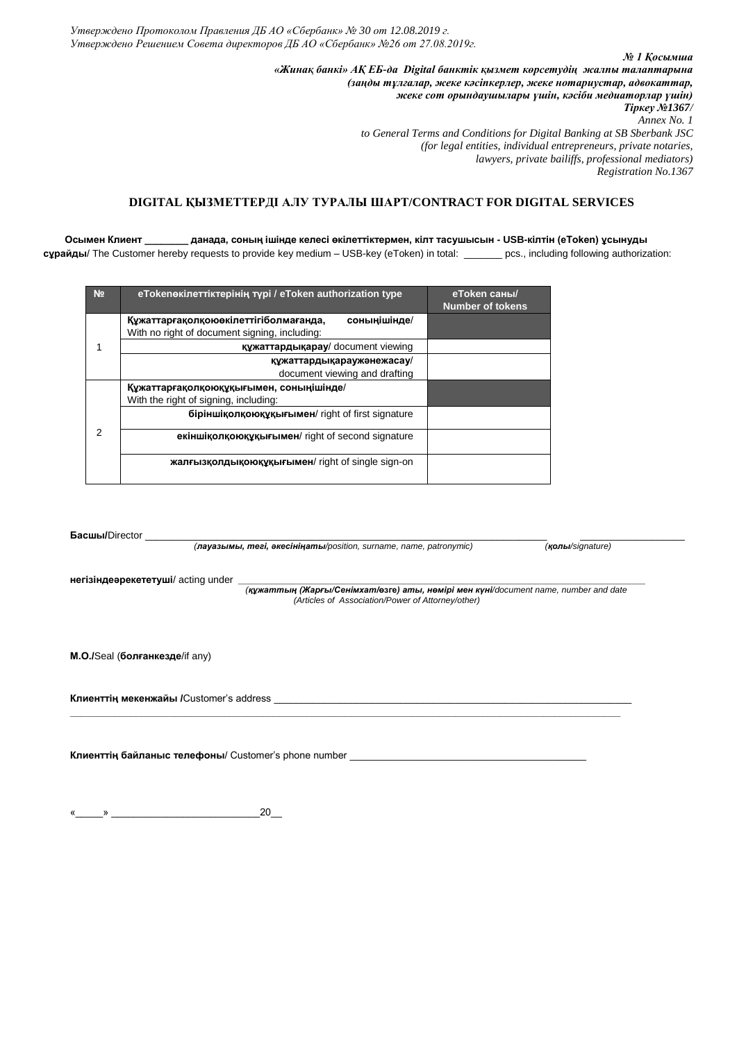*Утверждено Протоколом Правления ДБ АО «Сбербанк» № 30 от 12.08.2019 г. Утверждено Решением Совета директоров ДБ АО «Сбербанк» №26 от 27.08.2019г.*

> *№ 1 Қосымша «Жинақ банкі» АҚ ЕБ-да Digital банктік қызмет көрсетудің жалпы талаптарына (заңды тұлғалар, жеке кәсіпкерлер, жеке нотариустар, адвокаттар, жеке сот орындаушылары үшін, кәсіби медиаторлар үшін) Тіркеу №1367/ Annex No. 1 to General Terms and Conditions for Digital Banking at SB Sberbank JSC (for legal entities, individual entrepreneurs, private notaries, lawyers, private bailiffs, professional mediators) Registration No.1367*

> > *(лауазымы, тегі, әкесініңаты/position, surname, name, patronymic) (қолы/signature)*

# **DIGITAL ҚЫЗМЕТТЕРДІ АЛУ ТУРАЛЫ ШАРТ/CONTRACT FOR DIGITAL SERVICES**

 **Осымен Клиент \_\_\_\_\_\_\_\_ данада, соның ішінде келесі өкілеттіктермен, кілт тасушысын - USB-кілтін (eToken) ұсынуды** 

**сұрайды**/ The Customer hereby requests to provide key medium – USB-key (eToken) in total: \_\_\_\_\_\_\_ pcs., including following authorization:

| N <sub>2</sub> | eTokeneкілеттіктерінің түрі / eToken authorization type                                                  | еТокеп саны/<br><b>Number of tokens</b> |
|----------------|----------------------------------------------------------------------------------------------------------|-----------------------------------------|
|                | Құжаттарғақолқою өкілеттігі болмағанда,<br>соныңішінде/<br>With no right of document signing, including: |                                         |
|                | құжаттардықарау/ document viewing                                                                        |                                         |
|                | құжаттардықараужәнежасау/<br>document viewing and drafting                                               |                                         |
| 2              | Құжаттарғақолқоюқұқығымен, соныңішінде/                                                                  |                                         |
|                | With the right of signing, including:                                                                    |                                         |
|                | біріншіқолқоюқұқығымен/ right of first signature                                                         |                                         |
|                | екіншіқолқоюқұқығымен/ right of second signature                                                         |                                         |
|                | жалғызқолдықоюқұқығымен/ right of single sign-on                                                         |                                         |

**\_\_\_\_\_\_\_\_\_\_\_\_\_\_\_\_\_\_\_\_\_\_\_\_\_\_\_\_\_\_\_\_\_\_\_\_\_\_\_\_\_\_\_\_\_\_\_\_\_\_\_\_\_\_\_\_\_\_\_\_\_\_\_\_\_\_\_\_\_\_\_\_\_\_\_\_\_\_\_\_\_\_\_\_\_\_\_\_\_\_\_\_\_\_\_\_\_\_\_\_**

|                                           | (лауазымы, mezi, әкесініңаты/position, surname, name, patronymic)                                                                        | (KOJJH/Siqnature) |
|-------------------------------------------|------------------------------------------------------------------------------------------------------------------------------------------|-------------------|
| <b>негізіндеәрекететуші/</b> acting under |                                                                                                                                          |                   |
|                                           | (құжаттың (Жарғы/Сенімхат/өзге) аты, нөмірі мен күні/document name, number and date<br>(Articles of Association/Power of Attorney/other) |                   |
|                                           |                                                                                                                                          |                   |

**М.О./**Seal (**болғанкезде**/if any)

**Басшы/Director** 

**Клиенттің мекенжайы /**Customer's address \_\_\_\_\_\_\_\_\_\_\_\_\_\_\_\_\_\_\_\_\_\_\_\_\_\_\_\_\_\_\_\_\_\_\_\_\_\_\_\_\_\_\_\_\_\_\_\_\_\_\_\_\_\_\_\_\_\_\_\_\_\_\_\_\_

**Клиенттің байланыс телефоны**/ Customer's phone number \_\_\_\_\_\_\_\_\_\_\_\_\_\_\_\_\_\_\_\_\_\_\_\_\_\_\_\_\_\_\_\_\_\_\_\_\_\_\_\_\_\_\_

 $\begin{array}{ccccc}\n\frac{1}{2} & & \rightarrow & \text{20} & \\
\text{20} & & & \text{21} & \\
\end{array}$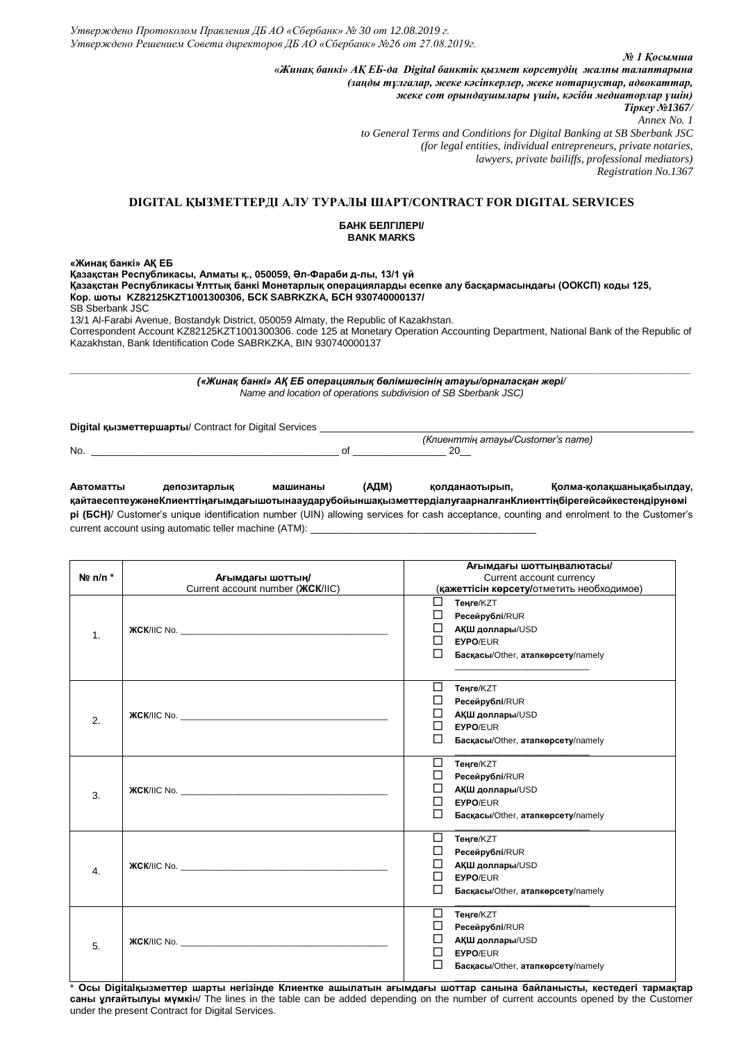*№ 1 Қосымша «Жинақ банкі» АҚ ЕБ-да Digital банктік қызмет көрсетудің жалпы талаптарына (заңды тұлғалар, жеке кәсіпкерлер, жеке нотариустар, адвокаттар, жеке сот орындаушылары үшін, кәсіби медиаторлар үшін) Тіркеу №1367/ Annex No. 1 to General Terms and Conditions for Digital Banking at SB Sberbank JSC (for legal entities, individual entrepreneurs, private notaries, lawyers, private bailiffs, professional mediators) Registration No.1367*

 *(Клиенттің атауы/Customer's name)*

## **DIGITAL ҚЫЗМЕТТЕРДІ АЛУ ТУРАЛЫ ШАРТ/CONTRACT FOR DIGITAL SERVICES**

## **БАНК БЕЛГІЛЕРІ/ BANK MARKS**

**«Жинақ банкі» АҚ ЕБ**

**Қазақстан Республикасы, Алматы қ., 050059, Әл-Фараби д-лы, 13/1 үй Қазақстан Республикасы Ұлттық банкі Монетарлық операцияларды есепке алу басқармасындағы (ООКСП) коды 125, Кор. шоты KZ82125KZT1001300306, БСК SABRKZKA, БСН 930740000137/** SB Sberbank JSC 13/1 Al-Farabi Avenue, Bostandyk District, 050059 Almaty, the Republic of Kazakhstan.

Correspondent Account KZ82125KZT1001300306. code 125 at Monetary Operation Accounting Department, National Bank of the Republic of Kazakhstan, Bank Identification Code SABRKZKA, BIN 930740000137

*\_\_\_\_\_\_\_\_\_\_\_\_\_\_\_\_\_\_\_\_\_\_\_\_\_\_\_\_\_\_\_\_\_\_\_\_\_\_\_\_\_\_\_\_\_\_\_\_\_\_\_\_\_\_\_\_\_\_\_\_\_\_\_\_\_\_\_\_\_\_\_\_\_\_\_\_\_\_\_\_\_\_\_\_\_\_\_\_\_\_\_\_\_\_\_\_\_\_\_\_\_\_\_\_\_\_\_\_\_\_\_\_\_\_ («Жинақ банкі» АҚ ЕБ операциялық бөлімшесінің атауы/орналасқан жері/ Name and location of operations subdivision of SB Sberbank JSC)*

**Digital қызметтершарты/ Contract for Digital Services** 

No. \_\_\_\_\_\_\_\_\_\_\_\_\_\_\_\_\_\_\_\_\_\_\_\_\_\_\_\_\_\_\_\_\_\_\_\_\_\_\_\_\_\_\_\_\_ of \_\_\_\_\_\_\_\_\_\_\_\_\_\_\_\_\_ 20\_\_

**Автоматты депозитарлық машинаны (АДМ) қолданаотырып, Қолма-қолақшанықабылдау, қайтаесептеужәнеКлиенттіңағымдағышотынааударубойыншақызметтердіалуғаарналғанКлиенттіңбірегейсәйкестендірунөмі рі (БСН)**/ Customer's unique identification number (UIN) allowing services for cash acceptance, counting and enrolment to the Customer's current account using automatic teller machine (ATM):

|                        |                                                                                                                                                                                                                                    | Ағымдағы шоттыңвалютасы/                  |
|------------------------|------------------------------------------------------------------------------------------------------------------------------------------------------------------------------------------------------------------------------------|-------------------------------------------|
| $N$ <sup>2</sup> п/п * | Ағымдағы шоттың/                                                                                                                                                                                                                   | Current account currency                  |
|                        | Current account number ( <b><i>KCK/IIC</i></b> )                                                                                                                                                                                   | (қажеттісін көрсету/отметить необходимое) |
|                        |                                                                                                                                                                                                                                    | □<br><b>Теңге/КZT</b>                     |
|                        |                                                                                                                                                                                                                                    | Ресейрублі/RUR                            |
|                        | <b>XCK/IIC No.</b> The contract of the contract of the contract of the contract of the contract of the contract of the contract of the contract of the contract of the contract of the contract of the contract of the contract of | ப<br><b>АҚШ доллары/USD</b>               |
| 1.                     |                                                                                                                                                                                                                                    | П<br><b>EYPO/EUR</b>                      |
|                        |                                                                                                                                                                                                                                    | П<br>Басқасы/Other, атапкөрсету/namely    |
|                        |                                                                                                                                                                                                                                    |                                           |
|                        |                                                                                                                                                                                                                                    |                                           |
|                        |                                                                                                                                                                                                                                    | □<br>Теңге/KZT                            |
|                        |                                                                                                                                                                                                                                    | ப<br>Ресейрублі/RUR                       |
| 2.                     | <b>XCK/IIC No.</b> The contract of the contract of the contract of the contract of the contract of the contract of the contract of the contract of the contract of the contract of the contract of the contract of the contract of | □<br><b>АҚШ доллары/USD</b>               |
|                        |                                                                                                                                                                                                                                    | EYPO/EUR<br>П                             |
|                        |                                                                                                                                                                                                                                    | □<br>Басқасы/Other, атапкөрсету/namely    |
|                        |                                                                                                                                                                                                                                    | П<br><b>Теңге/КZT</b>                     |
|                        |                                                                                                                                                                                                                                    | П                                         |
| 3.                     |                                                                                                                                                                                                                                    | Ресейрублі/RUR                            |
|                        |                                                                                                                                                                                                                                    | □<br><b>АҚШ доллары/USD</b>               |
|                        |                                                                                                                                                                                                                                    | П<br><b>EYPO/EUR</b>                      |
|                        |                                                                                                                                                                                                                                    | ப<br>Басқасы/Other, атапкөрсету/namely    |
|                        |                                                                                                                                                                                                                                    | ⊔<br><b>Теңге/КZT</b>                     |
|                        |                                                                                                                                                                                                                                    | ⊔<br>Ресейрублі/RUR                       |
|                        | <b>XCK/IIC No.</b> The contract of the contract of the contract of the contract of the contract of the contract of the contract of the contract of the contract of the contract of the contract of the contract of the contract of | □<br><b>АҚШ доллары/USD</b>               |
| 4.                     |                                                                                                                                                                                                                                    | П<br><b>EYPO/EUR</b>                      |
|                        |                                                                                                                                                                                                                                    | Басқасы/Other, атапкөрсету/namely         |
|                        |                                                                                                                                                                                                                                    | П                                         |
|                        |                                                                                                                                                                                                                                    | Теңге/KZT                                 |
|                        |                                                                                                                                                                                                                                    | ⊔<br>Ресейрублі/RUR                       |
| 5.                     |                                                                                                                                                                                                                                    | □<br><b>АҚШ доллары/USD</b>               |
|                        |                                                                                                                                                                                                                                    | П<br><b>EYPO/EUR</b>                      |
|                        |                                                                                                                                                                                                                                    | Басқасы/Other, атапкөрсету/namely         |
|                        |                                                                                                                                                                                                                                    |                                           |

\* **Осы Digitalқызметтер шарты негізінде Клиентке ашылатын ағымдағы шоттар санына байланысты, кестедегі тармақтар саны ұлғайтылуы мүмкі**н/ The lines in the table can be added depending on the number of current accounts opened by the Customer under the present Contract for Digital Services.